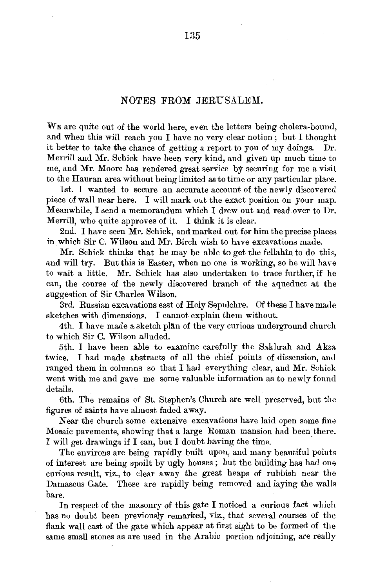## NOTES FROM JERUSALEM.

\VE are quite out of the world here, even the letters being cholera-bound, and when this will reach you I have no very clear notion ; but I thought it better to take the chance of getting a report to you of my doings. Dr. Merrill and Mr. Schick have been very kind, and given up much time to me, and Mr. Moore has rendered great service by seeuring for me a visit to the Hauran area without being limited as to time or any particular place.

1st. I wanted to secure an accurate account of the newly discovered piece of wall near here. I will mark out the exact position on your map. Meanwhile, I send a memorandum which I drew out and read over to Dr. Merrill, who quite approves of it. I think it is clear.

2nd. I have seen Mr. Schick, and marked out for him the precise places in which Sir C. Wilson and Mr. Birch wish to have excavations made.

Mr. Schick thinks that he may be able to get the fellahin to do this, and will try. But this is Easter, when no one is working, so he will have to wait a little. Mr. Schick has also undertaken to trace further, if he can, the course of the newly discovered branch of the aqueduct at the suggestion of Sir Charles Wilson.

3rd. Russian excavations east of Holy Sepulchre. Of these I have made sketches with dimensions. I cannot explain them without.

4th. I have made a sketch plan of the very curious underground church to which Sir C. Wilson alluded.

5th. I have been able to examine carefully the Sakhrah and Aksa twice. I had made abstracts of all the chief points of dissension, aml ranged them in columns so that I had everything clear, and Mr. Schick went with me and gave me some valuable information as to newly found details.

6th. The remains of St. Stephen's Church are well preserved, but the figures of saints have almost faded away.

Near the church some extensive excavations have laid open some fine Mosaic pavements, showing that a large Roman mansion had been there. I will get drawings if I can, but I doubt having the time. .

The environs are being rapidly built upon, and many beautiful points of interest are being spoilt by ugly houses; but the building has had one curious result, viz., to clear away the great heaps of rubbish near the Damascus Gate. These are rapidly being removed and laying the walls bare.

In respect of the masonry of this gate I noticed a curious fact which has no doubt been previously remarked, viz., that several courses of the flank wall east of the gate which appear at first sight to be formed of the same small stones as are used in the Arabic portion adjoining, are really